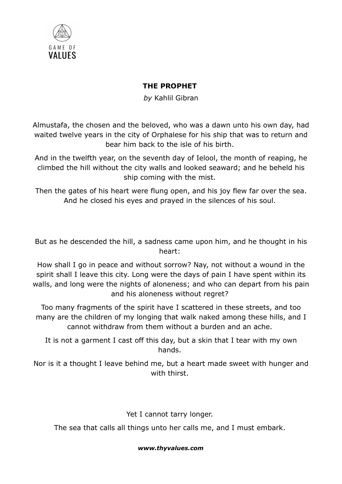

## THE PROPHET

by Kahlil Gibran

Almustafa, the chosen and the beloved, who was a dawn unto his own day, had waited twelve years in the city of Orphalese for his ship that was to return and bear him back to the isle of his birth.

And in the twelfth year, on the seventh day of Ielool, the month of reaping, he climbed the hill without the city walls and looked seaward; and he beheld his ship coming with the mist.

Then the gates of his heart were flung open, and his joy flew far over the sea. And he closed his eyes and prayed in the silences of his soul.

But as he descended the hill, a sadness came upon him, and he thought in his heart:

How shall I go in peace and without sorrow? Nay, not without a wound in the spirit shall I leave this city. Long were the days of pain I have spent within its walls, and long were the nights of aloneness; and who can depart from his pain and his aloneness without regret?

Too many fragments of the spirit have I scattered in these streets, and too many are the children of my longing that walk naked among these hills, and I cannot withdraw from them without a burden and an ache.

It is not a garment I cast off this day, but a skin that I tear with my own hands.

Nor is it a thought I leave behind me, but a heart made sweet with hunger and with thirst.

Yet I cannot tarry longer.

The sea that calls all things unto her calls me, and I must embark.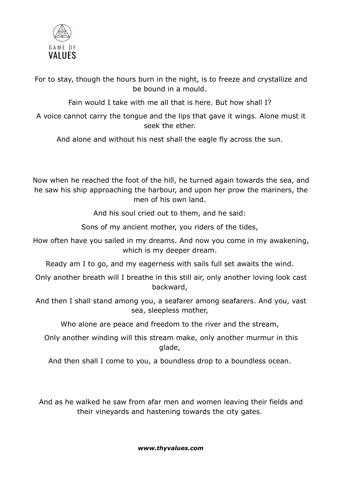

For to stay, though the hours burn in the night, is to freeze and crystallize and be bound in a mould.

Fain would I take with me all that is here. But how shall I?

A voice cannot carry the tongue and the lips that gave it wings. Alone must it seek the ether.

And alone and without his nest shall the eagle fly across the sun.

Now when he reached the foot of the hill, he turned again towards the sea, and he saw his ship approaching the harbour, and upon her prow the mariners, the men of his own land.

And his soul cried out to them, and he said:

Sons of my ancient mother, you riders of the tides,

How often have you sailed in my dreams. And now you come in my awakening, which is my deeper dream.

Ready am I to go, and my eagerness with sails full set awaits the wind.

Only another breath will I breathe in this still air, only another loving look cast backward,

And then I shall stand among you, a seafarer among seafarers. And you, vast sea, sleepless mother,

Who alone are peace and freedom to the river and the stream,

Only another winding will this stream make, only another murmur in this glade,

And then shall I come to you, a boundless drop to a boundless ocean.

And as he walked he saw from afar men and women leaving their fields and their vineyards and hastening towards the city gates.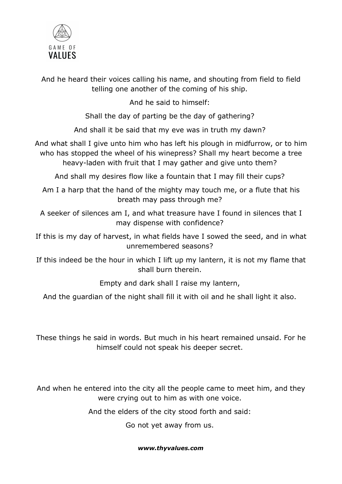

And he heard their voices calling his name, and shouting from field to field telling one another of the coming of his ship.

And he said to himself:

Shall the day of parting be the day of gathering?

And shall it be said that my eve was in truth my dawn?

And what shall I give unto him who has left his plough in midfurrow, or to him who has stopped the wheel of his winepress? Shall my heart become a tree heavy-laden with fruit that I may gather and give unto them?

And shall my desires flow like a fountain that I may fill their cups?

Am I a harp that the hand of the mighty may touch me, or a flute that his breath may pass through me?

A seeker of silences am I, and what treasure have I found in silences that I may dispense with confidence?

If this is my day of harvest, in what fields have I sowed the seed, and in what unremembered seasons?

If this indeed be the hour in which I lift up my lantern, it is not my flame that shall burn therein.

Empty and dark shall I raise my lantern,

And the guardian of the night shall fill it with oil and he shall light it also.

These things he said in words. But much in his heart remained unsaid. For he himself could not speak his deeper secret.

And when he entered into the city all the people came to meet him, and they were crying out to him as with one voice.

And the elders of the city stood forth and said:

Go not yet away from us.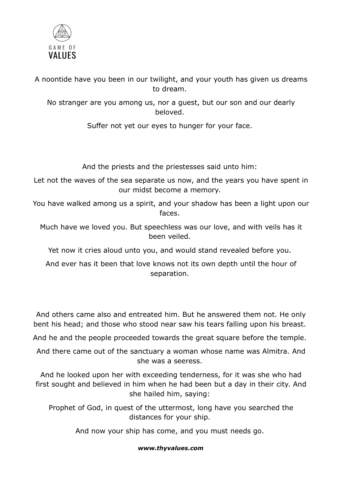

A noontide have you been in our twilight, and your youth has given us dreams to dream.

No stranger are you among us, nor a guest, but our son and our dearly beloved.

Suffer not yet our eyes to hunger for your face.

And the priests and the priestesses said unto him:

Let not the waves of the sea separate us now, and the years you have spent in our midst become a memory.

You have walked among us a spirit, and your shadow has been a light upon our faces.

Much have we loved you. But speechless was our love, and with veils has it been veiled.

Yet now it cries aloud unto you, and would stand revealed before you.

And ever has it been that love knows not its own depth until the hour of separation.

And others came also and entreated him. But he answered them not. He only bent his head; and those who stood near saw his tears falling upon his breast.

And he and the people proceeded towards the great square before the temple.

And there came out of the sanctuary a woman whose name was Almitra. And she was a seeress.

And he looked upon her with exceeding tenderness, for it was she who had first sought and believed in him when he had been but a day in their city. And she hailed him, saying:

Prophet of God, in quest of the uttermost, long have you searched the distances for your ship.

And now your ship has come, and you must needs go.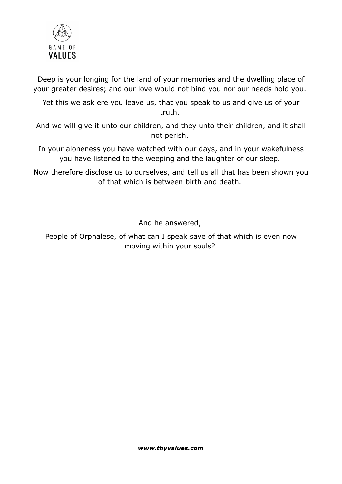

Deep is your longing for the land of your memories and the dwelling place of your greater desires; and our love would not bind you nor our needs hold you.

Yet this we ask ere you leave us, that you speak to us and give us of your truth.

And we will give it unto our children, and they unto their children, and it shall not perish.

In your aloneness you have watched with our days, and in your wakefulness you have listened to the weeping and the laughter of our sleep.

Now therefore disclose us to ourselves, and tell us all that has been shown you of that which is between birth and death.

And he answered,

People of Orphalese, of what can I speak save of that which is even now moving within your souls?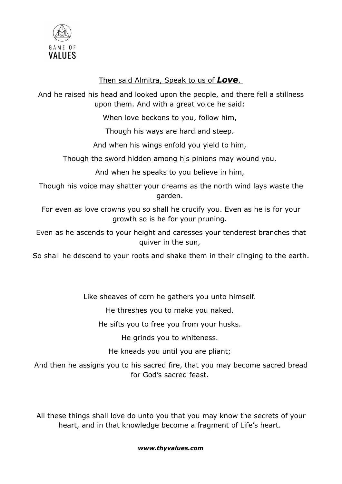

## Then said Almitra, Speak to us of Love.

And he raised his head and looked upon the people, and there fell a stillness upon them. And with a great voice he said:

When love beckons to you, follow him,

Though his ways are hard and steep.

And when his wings enfold you yield to him,

Though the sword hidden among his pinions may wound you.

And when he speaks to you believe in him,

Though his voice may shatter your dreams as the north wind lays waste the garden.

For even as love crowns you so shall he crucify you. Even as he is for your growth so is he for your pruning.

Even as he ascends to your height and caresses your tenderest branches that quiver in the sun,

So shall he descend to your roots and shake them in their clinging to the earth.

Like sheaves of corn he gathers you unto himself.

He threshes you to make you naked.

He sifts you to free you from your husks.

He grinds you to whiteness.

He kneads you until you are pliant;

And then he assigns you to his sacred fire, that you may become sacred bread for God's sacred feast.

All these things shall love do unto you that you may know the secrets of your heart, and in that knowledge become a fragment of Life's heart.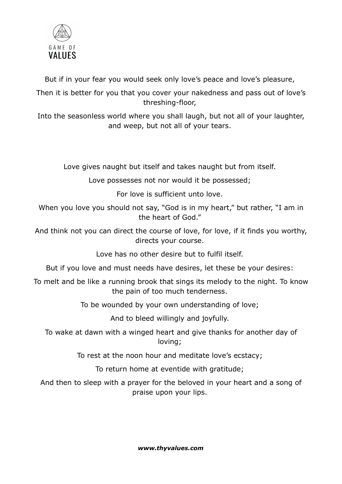

But if in your fear you would seek only love's peace and love's pleasure,

Then it is better for you that you cover your nakedness and pass out of love's threshing-floor,

Into the seasonless world where you shall laugh, but not all of your laughter, and weep, but not all of your tears.

Love gives naught but itself and takes naught but from itself.

Love possesses not nor would it be possessed;

For love is sufficient unto love.

When you love you should not say, "God is in my heart," but rather, "I am in the heart of God."

And think not you can direct the course of love, for love, if it finds you worthy, directs your course.

Love has no other desire but to fulfil itself.

But if you love and must needs have desires, let these be your desires:

To melt and be like a running brook that sings its melody to the night. To know the pain of too much tenderness.

To be wounded by your own understanding of love;

And to bleed willingly and joyfully.

To wake at dawn with a winged heart and give thanks for another day of loving;

To rest at the noon hour and meditate love's ecstacy;

To return home at eventide with gratitude;

And then to sleep with a prayer for the beloved in your heart and a song of praise upon your lips.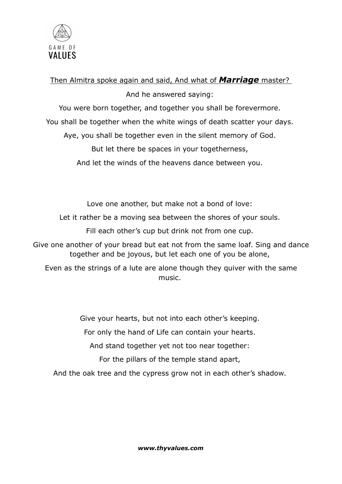

### Then Almitra spoke again and said, And what of **Marriage** master?

And he answered saying:

You were born together, and together you shall be forevermore.

You shall be together when the white wings of death scatter your days.

Aye, you shall be together even in the silent memory of God.

But let there be spaces in your togetherness,

And let the winds of the heavens dance between you.

Love one another, but make not a bond of love:

Let it rather be a moving sea between the shores of your souls.

Fill each other's cup but drink not from one cup.

Give one another of your bread but eat not from the same loaf. Sing and dance together and be joyous, but let each one of you be alone,

Even as the strings of a lute are alone though they quiver with the same music.

Give your hearts, but not into each other's keeping.

For only the hand of Life can contain your hearts.

And stand together yet not too near together:

For the pillars of the temple stand apart,

And the oak tree and the cypress grow not in each other's shadow.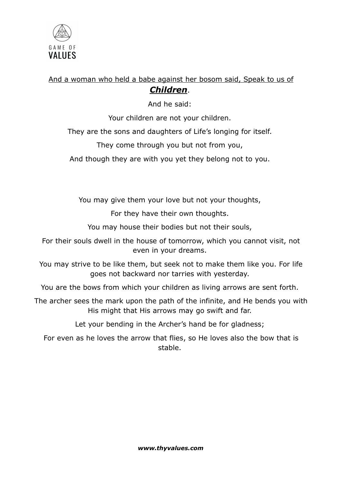

# And a woman who held a babe against her bosom said, Speak to us of Children.

And he said:

Your children are not your children.

They are the sons and daughters of Life's longing for itself.

They come through you but not from you,

And though they are with you yet they belong not to you.

You may give them your love but not your thoughts,

For they have their own thoughts.

You may house their bodies but not their souls,

For their souls dwell in the house of tomorrow, which you cannot visit, not even in your dreams.

You may strive to be like them, but seek not to make them like you. For life goes not backward nor tarries with yesterday.

You are the bows from which your children as living arrows are sent forth.

The archer sees the mark upon the path of the infinite, and He bends you with His might that His arrows may go swift and far.

Let your bending in the Archer's hand be for gladness;

For even as he loves the arrow that flies, so He loves also the bow that is stable.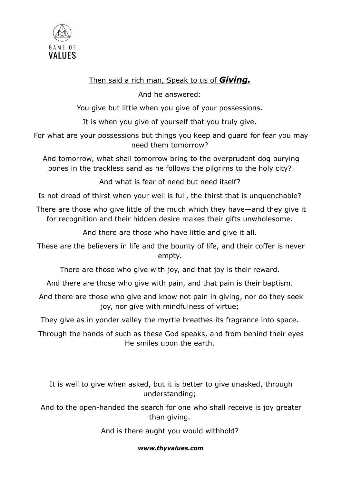

## Then said a rich man, Speak to us of *Giving.*

And he answered:

You give but little when you give of your possessions.

It is when you give of yourself that you truly give.

For what are your possessions but things you keep and guard for fear you may need them tomorrow?

And tomorrow, what shall tomorrow bring to the overprudent dog burying bones in the trackless sand as he follows the pilgrims to the holy city?

And what is fear of need but need itself?

Is not dread of thirst when your well is full, the thirst that is unquenchable?

There are those who give little of the much which they have—and they give it for recognition and their hidden desire makes their gifts unwholesome.

And there are those who have little and give it all.

These are the believers in life and the bounty of life, and their coffer is never empty.

There are those who give with joy, and that joy is their reward.

And there are those who give with pain, and that pain is their baptism.

And there are those who give and know not pain in giving, nor do they seek joy, nor give with mindfulness of virtue;

They give as in yonder valley the myrtle breathes its fragrance into space.

Through the hands of such as these God speaks, and from behind their eyes He smiles upon the earth.

It is well to give when asked, but it is better to give unasked, through understanding;

And to the open-handed the search for one who shall receive is joy greater than giving.

And is there aught you would withhold?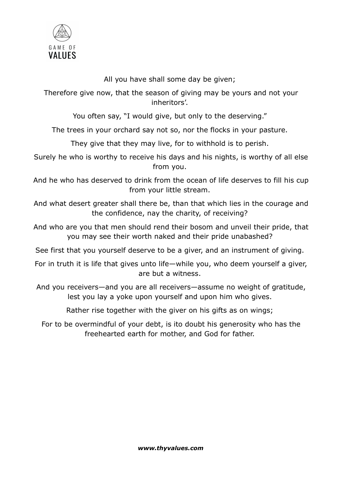

All you have shall some day be given;

Therefore give now, that the season of giving may be yours and not your inheritors'.

You often say, "I would give, but only to the deserving."

The trees in your orchard say not so, nor the flocks in your pasture.

They give that they may live, for to withhold is to perish.

Surely he who is worthy to receive his days and his nights, is worthy of all else from you.

And he who has deserved to drink from the ocean of life deserves to fill his cup from your little stream.

And what desert greater shall there be, than that which lies in the courage and the confidence, nay the charity, of receiving?

And who are you that men should rend their bosom and unveil their pride, that you may see their worth naked and their pride unabashed?

See first that you yourself deserve to be a giver, and an instrument of giving.

For in truth it is life that gives unto life—while you, who deem yourself a giver, are but a witness.

And you receivers—and you are all receivers—assume no weight of gratitude, lest you lay a yoke upon yourself and upon him who gives.

Rather rise together with the giver on his gifts as on wings;

For to be overmindful of your debt, is ito doubt his generosity who has the freehearted earth for mother, and God for father.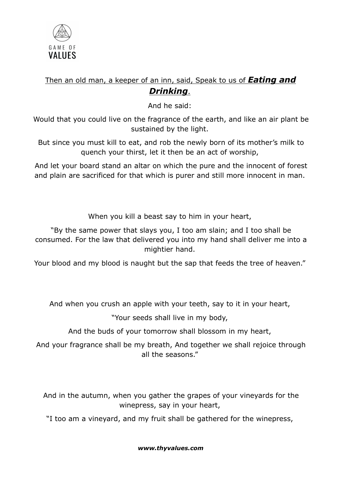

# Then an old man, a keeper of an inn, said, Speak to us of **Eating and** Drinkina.

And he said:

Would that you could live on the fragrance of the earth, and like an air plant be sustained by the light.

But since you must kill to eat, and rob the newly born of its mother's milk to quench your thirst, let it then be an act of worship,

And let your board stand an altar on which the pure and the innocent of forest and plain are sacrificed for that which is purer and still more innocent in man.

When you kill a beast say to him in your heart,

"By the same power that slays you, I too am slain; and I too shall be consumed. For the law that delivered you into my hand shall deliver me into a mightier hand.

Your blood and my blood is naught but the sap that feeds the tree of heaven."

And when you crush an apple with your teeth, say to it in your heart,

"Your seeds shall live in my body,

And the buds of your tomorrow shall blossom in my heart,

And your fragrance shall be my breath, And together we shall rejoice through all the seasons."

And in the autumn, when you gather the grapes of your vineyards for the winepress, say in your heart,

"I too am a vineyard, and my fruit shall be gathered for the winepress,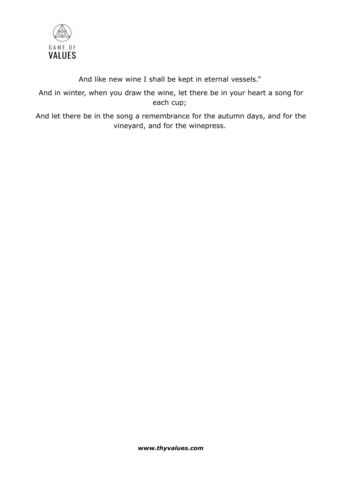

### And like new wine I shall be kept in eternal vessels."

And in winter, when you draw the wine, let there be in your heart a song for each cup;

And let there be in the song a remembrance for the autumn days, and for the vineyard, and for the winepress.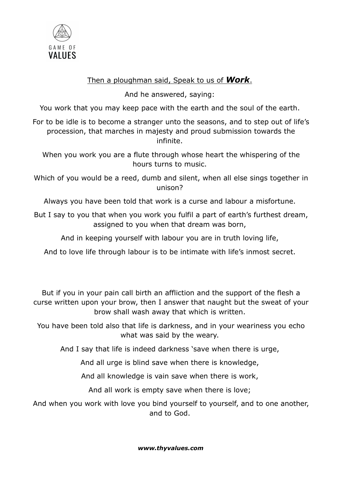

## Then a ploughman said, Speak to us of **Work**.

And he answered, saying:

You work that you may keep pace with the earth and the soul of the earth.

For to be idle is to become a stranger unto the seasons, and to step out of life's procession, that marches in majesty and proud submission towards the infinite.

When you work you are a flute through whose heart the whispering of the hours turns to music.

Which of you would be a reed, dumb and silent, when all else sings together in unison?

Always you have been told that work is a curse and labour a misfortune.

But I say to you that when you work you fulfil a part of earth's furthest dream, assigned to you when that dream was born,

And in keeping yourself with labour you are in truth loving life,

And to love life through labour is to be intimate with life's inmost secret.

But if you in your pain call birth an affliction and the support of the flesh a curse written upon your brow, then I answer that naught but the sweat of your brow shall wash away that which is written.

You have been told also that life is darkness, and in your weariness you echo what was said by the weary.

And I say that life is indeed darkness 'save when there is urge,

And all urge is blind save when there is knowledge,

And all knowledge is vain save when there is work,

And all work is empty save when there is love;

And when you work with love you bind yourself to yourself, and to one another, and to God.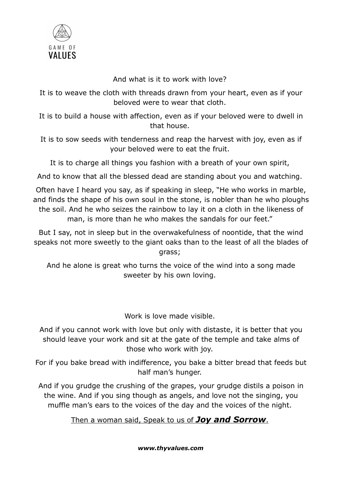

And what is it to work with love?

It is to weave the cloth with threads drawn from your heart, even as if your beloved were to wear that cloth.

It is to build a house with affection, even as if your beloved were to dwell in that house.

It is to sow seeds with tenderness and reap the harvest with joy, even as if your beloved were to eat the fruit.

It is to charge all things you fashion with a breath of your own spirit,

And to know that all the blessed dead are standing about you and watching.

Often have I heard you say, as if speaking in sleep, "He who works in marble, and finds the shape of his own soul in the stone, is nobler than he who ploughs the soil. And he who seizes the rainbow to lay it on a cloth in the likeness of man, is more than he who makes the sandals for our feet."

But I say, not in sleep but in the overwakefulness of noontide, that the wind speaks not more sweetly to the giant oaks than to the least of all the blades of grass;

And he alone is great who turns the voice of the wind into a song made sweeter by his own loving.

Work is love made visible.

And if you cannot work with love but only with distaste, it is better that you should leave your work and sit at the gate of the temple and take alms of those who work with joy.

For if you bake bread with indifference, you bake a bitter bread that feeds but half man's hunger.

And if you grudge the crushing of the grapes, your grudge distils a poison in the wine. And if you sing though as angels, and love not the singing, you muffle man's ears to the voices of the day and the voices of the night.

Then a woman said, Speak to us of Joy and Sorrow.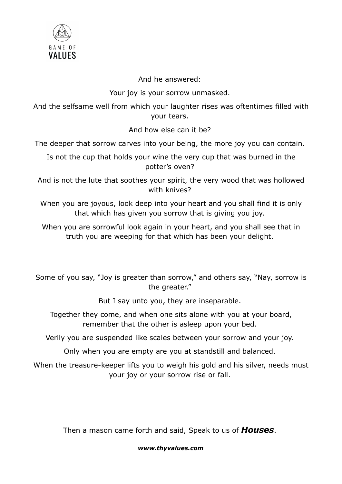

### And he answered:

### Your joy is your sorrow unmasked.

And the selfsame well from which your laughter rises was oftentimes filled with your tears.

And how else can it be?

The deeper that sorrow carves into your being, the more joy you can contain.

Is not the cup that holds your wine the very cup that was burned in the potter's oven?

And is not the lute that soothes your spirit, the very wood that was hollowed with knives?

When you are joyous, look deep into your heart and you shall find it is only that which has given you sorrow that is giving you joy.

When you are sorrowful look again in your heart, and you shall see that in truth you are weeping for that which has been your delight.

Some of you say, "Joy is greater than sorrow," and others say, "Nay, sorrow is the greater."

But I say unto you, they are inseparable.

Together they come, and when one sits alone with you at your board, remember that the other is asleep upon your bed.

Verily you are suspended like scales between your sorrow and your joy.

Only when you are empty are you at standstill and balanced.

When the treasure-keeper lifts you to weigh his gold and his silver, needs must your joy or your sorrow rise or fall.

## Then a mason came forth and said, Speak to us of **Houses**.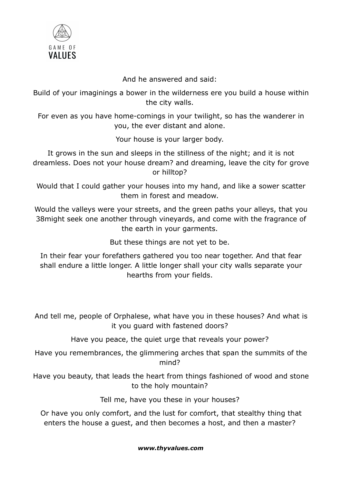

And he answered and said:

Build of your imaginings a bower in the wilderness ere you build a house within the city walls.

For even as you have home-comings in your twilight, so has the wanderer in you, the ever distant and alone.

Your house is your larger body.

It grows in the sun and sleeps in the stillness of the night; and it is not dreamless. Does not your house dream? and dreaming, leave the city for grove or hilltop?

Would that I could gather your houses into my hand, and like a sower scatter them in forest and meadow.

Would the valleys were your streets, and the green paths your alleys, that you 38might seek one another through vineyards, and come with the fragrance of the earth in your garments.

But these things are not yet to be.

In their fear your forefathers gathered you too near together. And that fear shall endure a little longer. A little longer shall your city walls separate your hearths from your fields.

And tell me, people of Orphalese, what have you in these houses? And what is it you guard with fastened doors?

Have you peace, the quiet urge that reveals your power?

Have you remembrances, the glimmering arches that span the summits of the mind?

Have you beauty, that leads the heart from things fashioned of wood and stone to the holy mountain?

Tell me, have you these in your houses?

Or have you only comfort, and the lust for comfort, that stealthy thing that enters the house a guest, and then becomes a host, and then a master?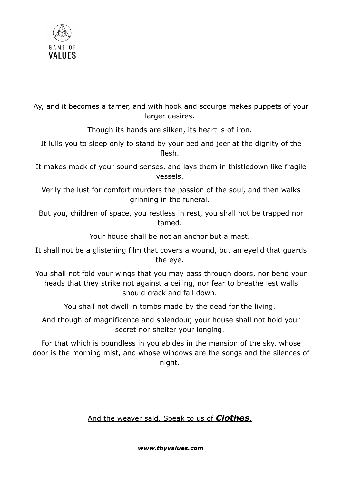

Ay, and it becomes a tamer, and with hook and scourge makes puppets of your larger desires.

Though its hands are silken, its heart is of iron.

It lulls you to sleep only to stand by your bed and jeer at the dignity of the flesh.

It makes mock of your sound senses, and lays them in thistledown like fragile vessels.

Verily the lust for comfort murders the passion of the soul, and then walks grinning in the funeral.

But you, children of space, you restless in rest, you shall not be trapped nor tamed.

Your house shall be not an anchor but a mast.

It shall not be a glistening film that covers a wound, but an eyelid that guards the eye.

You shall not fold your wings that you may pass through doors, nor bend your heads that they strike not against a ceiling, nor fear to breathe lest walls should crack and fall down.

You shall not dwell in tombs made by the dead for the living.

And though of magnificence and splendour, your house shall not hold your secret nor shelter your longing.

For that which is boundless in you abides in the mansion of the sky, whose door is the morning mist, and whose windows are the songs and the silences of night.

And the weaver said, Speak to us of **Clothes**.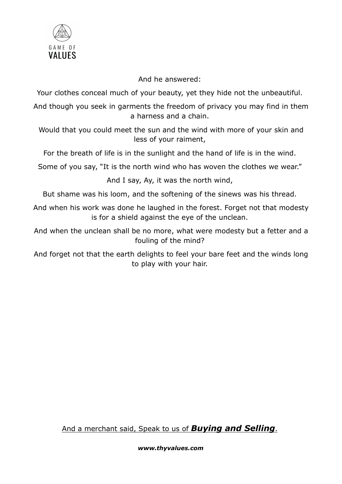

And he answered:

Your clothes conceal much of your beauty, yet they hide not the unbeautiful.

And though you seek in garments the freedom of privacy you may find in them a harness and a chain.

Would that you could meet the sun and the wind with more of your skin and less of your raiment,

For the breath of life is in the sunlight and the hand of life is in the wind.

Some of you say, "It is the north wind who has woven the clothes we wear."

And I say, Ay, it was the north wind,

But shame was his loom, and the softening of the sinews was his thread.

And when his work was done he laughed in the forest. Forget not that modesty is for a shield against the eye of the unclean.

And when the unclean shall be no more, what were modesty but a fetter and a fouling of the mind?

And forget not that the earth delights to feel your bare feet and the winds long to play with your hair.

And a merchant said, Speak to us of **Buying and Selling**.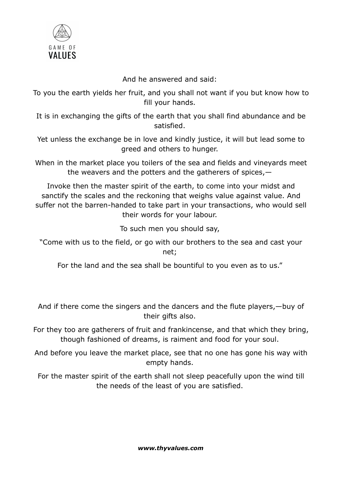

And he answered and said:

To you the earth yields her fruit, and you shall not want if you but know how to fill your hands.

It is in exchanging the gifts of the earth that you shall find abundance and be satisfied.

Yet unless the exchange be in love and kindly justice, it will but lead some to greed and others to hunger.

When in the market place you toilers of the sea and fields and vineyards meet the weavers and the potters and the gatherers of spices,—

Invoke then the master spirit of the earth, to come into your midst and sanctify the scales and the reckoning that weighs value against value. And suffer not the barren-handed to take part in your transactions, who would sell their words for your labour.

To such men you should say,

"Come with us to the field, or go with our brothers to the sea and cast your net;

For the land and the sea shall be bountiful to you even as to us."

And if there come the singers and the dancers and the flute players,—buy of their gifts also.

For they too are gatherers of fruit and frankincense, and that which they bring, though fashioned of dreams, is raiment and food for your soul.

And before you leave the market place, see that no one has gone his way with empty hands.

For the master spirit of the earth shall not sleep peacefully upon the wind till the needs of the least of you are satisfied.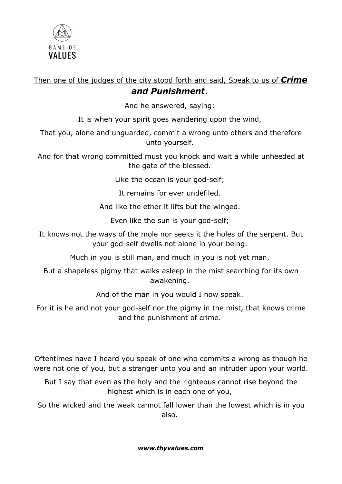

Then one of the judges of the city stood forth and said, Speak to us of Crime and Punishment.

And he answered, saying:

It is when your spirit goes wandering upon the wind,

That you, alone and unguarded, commit a wrong unto others and therefore unto yourself.

And for that wrong committed must you knock and wait a while unheeded at the gate of the blessed.

Like the ocean is your god-self;

It remains for ever undefiled.

And like the ether it lifts but the winged.

Even like the sun is your god-self;

It knows not the ways of the mole nor seeks it the holes of the serpent. But your god-self dwells not alone in your being.

Much in you is still man, and much in you is not yet man,

But a shapeless pigmy that walks asleep in the mist searching for its own awakening.

And of the man in you would I now speak.

For it is he and not your god-self nor the pigmy in the mist, that knows crime and the punishment of crime.

Oftentimes have I heard you speak of one who commits a wrong as though he were not one of you, but a stranger unto you and an intruder upon your world.

But I say that even as the holy and the righteous cannot rise beyond the highest which is in each one of you,

So the wicked and the weak cannot fall lower than the lowest which is in you also.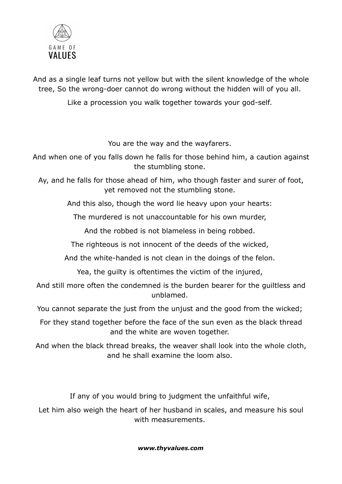

And as a single leaf turns not yellow but with the silent knowledge of the whole tree, So the wrong-doer cannot do wrong without the hidden will of you all.

Like a procession you walk together towards your god-self.

You are the way and the wayfarers.

And when one of you falls down he falls for those behind him, a caution against the stumbling stone.

Ay, and he falls for those ahead of him, who though faster and surer of foot, yet removed not the stumbling stone.

And this also, though the word lie heavy upon your hearts:

The murdered is not unaccountable for his own murder,

And the robbed is not blameless in being robbed.

The righteous is not innocent of the deeds of the wicked,

And the white-handed is not clean in the doings of the felon.

Yea, the guilty is oftentimes the victim of the injured,

And still more often the condemned is the burden bearer for the guiltless and unblamed.

You cannot separate the just from the unjust and the good from the wicked;

For they stand together before the face of the sun even as the black thread and the white are woven together.

And when the black thread breaks, the weaver shall look into the whole cloth, and he shall examine the loom also.

If any of you would bring to judgment the unfaithful wife,

Let him also weigh the heart of her husband in scales, and measure his soul with measurements.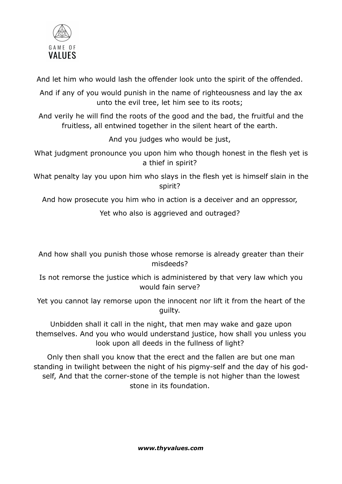

And let him who would lash the offender look unto the spirit of the offended.

And if any of you would punish in the name of righteousness and lay the ax unto the evil tree, let him see to its roots;

And verily he will find the roots of the good and the bad, the fruitful and the fruitless, all entwined together in the silent heart of the earth.

And you judges who would be just,

What judgment pronounce you upon him who though honest in the flesh yet is a thief in spirit?

What penalty lay you upon him who slays in the flesh yet is himself slain in the spirit?

And how prosecute you him who in action is a deceiver and an oppressor,

Yet who also is aggrieved and outraged?

And how shall you punish those whose remorse is already greater than their misdeeds?

Is not remorse the justice which is administered by that very law which you would fain serve?

Yet you cannot lay remorse upon the innocent nor lift it from the heart of the guilty.

Unbidden shall it call in the night, that men may wake and gaze upon themselves. And you who would understand justice, how shall you unless you look upon all deeds in the fullness of light?

Only then shall you know that the erect and the fallen are but one man standing in twilight between the night of his pigmy-self and the day of his godself, And that the corner-stone of the temple is not higher than the lowest stone in its foundation.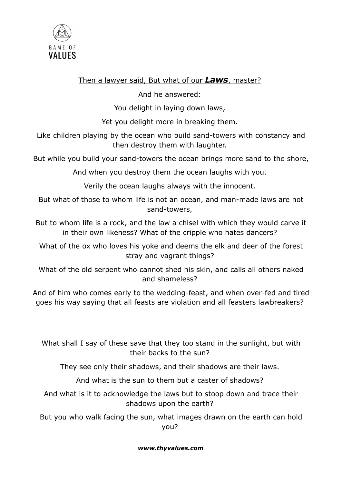

## Then a lawyer said, But what of our  $Laws$ , master?

And he answered:

You delight in laying down laws,

Yet you delight more in breaking them.

Like children playing by the ocean who build sand-towers with constancy and then destroy them with laughter.

But while you build your sand-towers the ocean brings more sand to the shore,

And when you destroy them the ocean laughs with you.

Verily the ocean laughs always with the innocent.

But what of those to whom life is not an ocean, and man-made laws are not sand-towers,

But to whom life is a rock, and the law a chisel with which they would carve it in their own likeness? What of the cripple who hates dancers?

What of the ox who loves his yoke and deems the elk and deer of the forest stray and vagrant things?

What of the old serpent who cannot shed his skin, and calls all others naked and shameless?

And of him who comes early to the wedding-feast, and when over-fed and tired goes his way saying that all feasts are violation and all feasters lawbreakers?

What shall I say of these save that they too stand in the sunlight, but with their backs to the sun?

They see only their shadows, and their shadows are their laws.

And what is the sun to them but a caster of shadows?

And what is it to acknowledge the laws but to stoop down and trace their shadows upon the earth?

But you who walk facing the sun, what images drawn on the earth can hold you?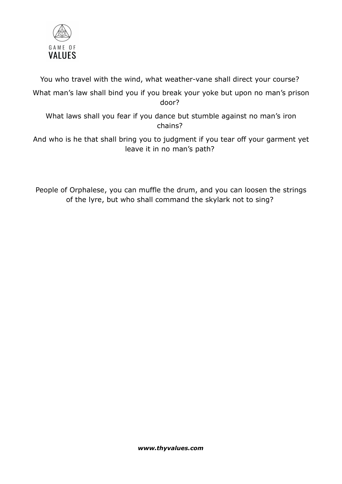

You who travel with the wind, what weather-vane shall direct your course?

What man's law shall bind you if you break your yoke but upon no man's prison door?

What laws shall you fear if you dance but stumble against no man's iron chains?

And who is he that shall bring you to judgment if you tear off your garment yet leave it in no man's path?

People of Orphalese, you can muffle the drum, and you can loosen the strings of the lyre, but who shall command the skylark not to sing?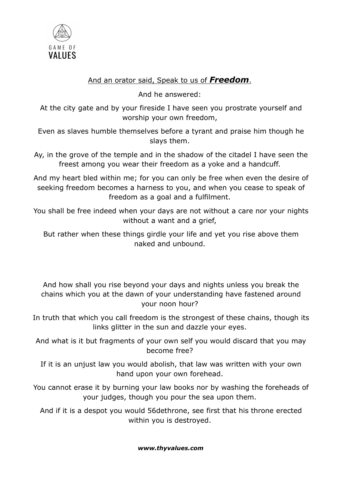

# And an orator said, Speak to us of Freedom.

And he answered:

At the city gate and by your fireside I have seen you prostrate yourself and worship your own freedom,

Even as slaves humble themselves before a tyrant and praise him though he slays them.

Ay, in the grove of the temple and in the shadow of the citadel I have seen the freest among you wear their freedom as a yoke and a handcuff.

And my heart bled within me; for you can only be free when even the desire of seeking freedom becomes a harness to you, and when you cease to speak of freedom as a goal and a fulfilment.

You shall be free indeed when your days are not without a care nor your nights without a want and a grief,

But rather when these things girdle your life and yet you rise above them naked and unbound.

And how shall you rise beyond your days and nights unless you break the chains which you at the dawn of your understanding have fastened around your noon hour?

In truth that which you call freedom is the strongest of these chains, though its links glitter in the sun and dazzle your eyes.

And what is it but fragments of your own self you would discard that you may become free?

If it is an unjust law you would abolish, that law was written with your own hand upon your own forehead.

You cannot erase it by burning your law books nor by washing the foreheads of your judges, though you pour the sea upon them.

And if it is a despot you would 56dethrone, see first that his throne erected within you is destroyed.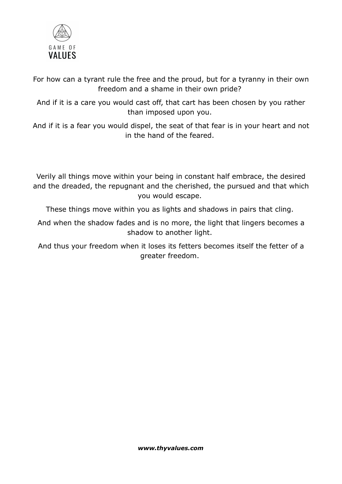

For how can a tyrant rule the free and the proud, but for a tyranny in their own freedom and a shame in their own pride?

And if it is a care you would cast off, that cart has been chosen by you rather than imposed upon you.

And if it is a fear you would dispel, the seat of that fear is in your heart and not in the hand of the feared.

Verily all things move within your being in constant half embrace, the desired and the dreaded, the repugnant and the cherished, the pursued and that which you would escape.

These things move within you as lights and shadows in pairs that cling.

And when the shadow fades and is no more, the light that lingers becomes a shadow to another light.

And thus your freedom when it loses its fetters becomes itself the fetter of a greater freedom.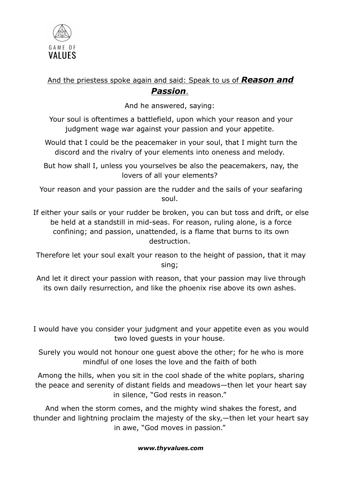

# And the priestess spoke again and said: Speak to us of **Reason and** Passion.

And he answered, saying:

Your soul is oftentimes a battlefield, upon which your reason and your judgment wage war against your passion and your appetite.

Would that I could be the peacemaker in your soul, that I might turn the discord and the rivalry of your elements into oneness and melody.

But how shall I, unless you yourselves be also the peacemakers, nay, the lovers of all your elements?

Your reason and your passion are the rudder and the sails of your seafaring soul.

If either your sails or your rudder be broken, you can but toss and drift, or else be held at a standstill in mid-seas. For reason, ruling alone, is a force confining; and passion, unattended, is a flame that burns to its own destruction.

Therefore let your soul exalt your reason to the height of passion, that it may sing;

And let it direct your passion with reason, that your passion may live through its own daily resurrection, and like the phoenix rise above its own ashes.

I would have you consider your judgment and your appetite even as you would two loved guests in your house.

Surely you would not honour one guest above the other; for he who is more mindful of one loses the love and the faith of both

Among the hills, when you sit in the cool shade of the white poplars, sharing the peace and serenity of distant fields and meadows—then let your heart say in silence, "God rests in reason."

And when the storm comes, and the mighty wind shakes the forest, and thunder and lightning proclaim the majesty of the sky,—then let your heart say in awe, "God moves in passion."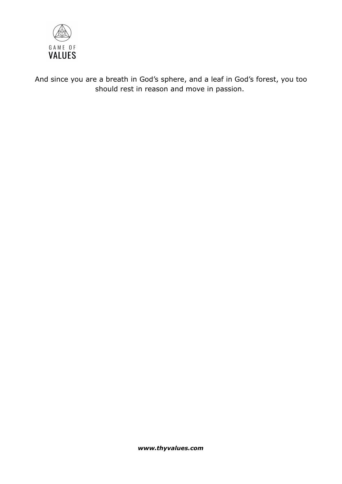

And since you are a breath in God's sphere, and a leaf in God's forest, you too should rest in reason and move in passion.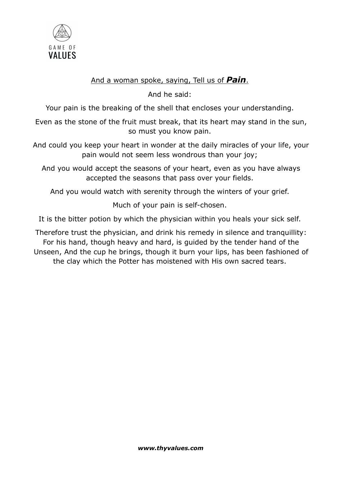

## And a woman spoke, saying, Tell us of **Pain**.

And he said:

Your pain is the breaking of the shell that encloses your understanding.

Even as the stone of the fruit must break, that its heart may stand in the sun, so must you know pain.

And could you keep your heart in wonder at the daily miracles of your life, your pain would not seem less wondrous than your joy;

And you would accept the seasons of your heart, even as you have always accepted the seasons that pass over your fields.

And you would watch with serenity through the winters of your grief.

Much of your pain is self-chosen.

It is the bitter potion by which the physician within you heals your sick self.

Therefore trust the physician, and drink his remedy in silence and tranquillity: For his hand, though heavy and hard, is guided by the tender hand of the Unseen, And the cup he brings, though it burn your lips, has been fashioned of the clay which the Potter has moistened with His own sacred tears.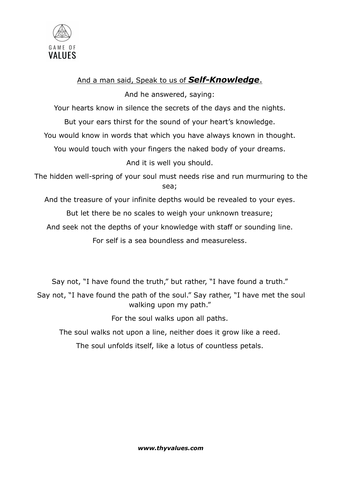

# And a man said, Speak to us of **Self-Knowledge**.

And he answered, saying:

Your hearts know in silence the secrets of the days and the nights.

But your ears thirst for the sound of your heart's knowledge.

You would know in words that which you have always known in thought.

You would touch with your fingers the naked body of your dreams.

And it is well you should.

The hidden well-spring of your soul must needs rise and run murmuring to the sea;

And the treasure of your infinite depths would be revealed to your eyes.

But let there be no scales to weigh your unknown treasure;

And seek not the depths of your knowledge with staff or sounding line.

For self is a sea boundless and measureless.

Say not, "I have found the truth," but rather, "I have found a truth."

Say not, "I have found the path of the soul." Say rather, "I have met the soul walking upon my path."

For the soul walks upon all paths.

The soul walks not upon a line, neither does it grow like a reed.

The soul unfolds itself, like a lotus of countless petals.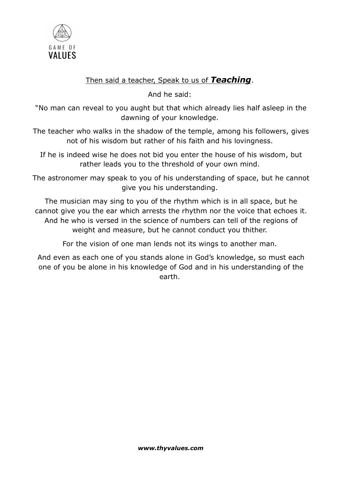

# Then said a teacher, Speak to us of Teaching.

And he said:

"No man can reveal to you aught but that which already lies half asleep in the dawning of your knowledge.

The teacher who walks in the shadow of the temple, among his followers, gives not of his wisdom but rather of his faith and his lovingness.

If he is indeed wise he does not bid you enter the house of his wisdom, but rather leads you to the threshold of your own mind.

The astronomer may speak to you of his understanding of space, but he cannot give you his understanding.

The musician may sing to you of the rhythm which is in all space, but he cannot give you the ear which arrests the rhythm nor the voice that echoes it. And he who is versed in the science of numbers can tell of the regions of weight and measure, but he cannot conduct you thither.

For the vision of one man lends not its wings to another man.

And even as each one of you stands alone in God's knowledge, so must each one of you be alone in his knowledge of God and in his understanding of the earth.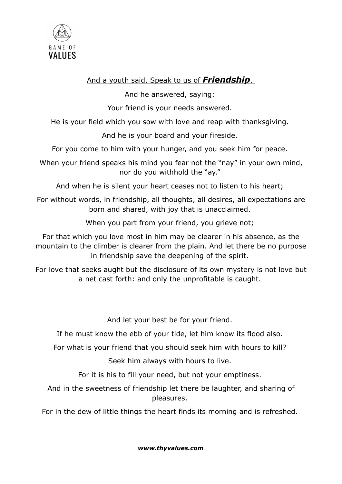

## And a youth said, Speak to us of **Friendship**.

And he answered, saying:

Your friend is your needs answered.

He is your field which you sow with love and reap with thanksgiving.

And he is your board and your fireside.

For you come to him with your hunger, and you seek him for peace.

When your friend speaks his mind you fear not the "nay" in your own mind, nor do you withhold the "ay."

And when he is silent your heart ceases not to listen to his heart;

For without words, in friendship, all thoughts, all desires, all expectations are born and shared, with joy that is unacclaimed.

When you part from your friend, you grieve not;

For that which you love most in him may be clearer in his absence, as the mountain to the climber is clearer from the plain. And let there be no purpose in friendship save the deepening of the spirit.

For love that seeks aught but the disclosure of its own mystery is not love but a net cast forth: and only the unprofitable is caught.

And let your best be for your friend.

If he must know the ebb of your tide, let him know its flood also.

For what is your friend that you should seek him with hours to kill?

Seek him always with hours to live.

For it is his to fill your need, but not your emptiness.

And in the sweetness of friendship let there be laughter, and sharing of pleasures.

For in the dew of little things the heart finds its morning and is refreshed.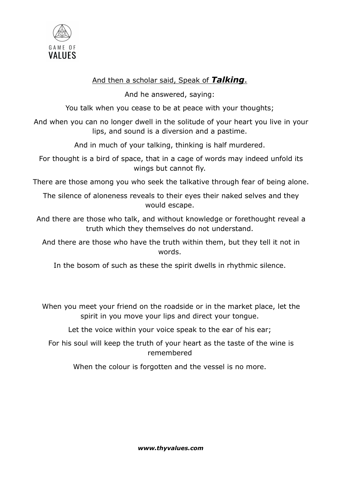

## And then a scholar said, Speak of Talking.

And he answered, saying:

You talk when you cease to be at peace with your thoughts;

And when you can no longer dwell in the solitude of your heart you live in your lips, and sound is a diversion and a pastime.

And in much of your talking, thinking is half murdered.

For thought is a bird of space, that in a cage of words may indeed unfold its wings but cannot fly.

There are those among you who seek the talkative through fear of being alone.

The silence of aloneness reveals to their eyes their naked selves and they would escape.

And there are those who talk, and without knowledge or forethought reveal a truth which they themselves do not understand.

And there are those who have the truth within them, but they tell it not in words.

In the bosom of such as these the spirit dwells in rhythmic silence.

When you meet your friend on the roadside or in the market place, let the spirit in you move your lips and direct your tongue.

Let the voice within your voice speak to the ear of his ear;

For his soul will keep the truth of your heart as the taste of the wine is remembered

When the colour is forgotten and the vessel is no more.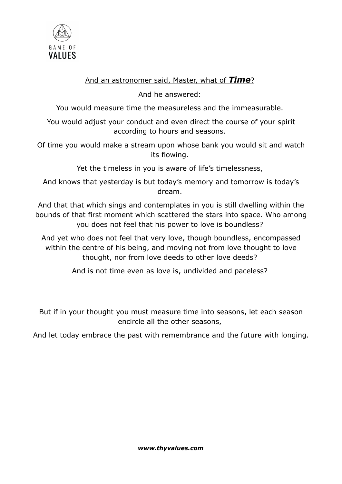

## And an astronomer said, Master, what of Time?

And he answered:

You would measure time the measureless and the immeasurable.

You would adjust your conduct and even direct the course of your spirit according to hours and seasons.

Of time you would make a stream upon whose bank you would sit and watch its flowing.

Yet the timeless in you is aware of life's timelessness,

And knows that yesterday is but today's memory and tomorrow is today's dream.

And that that which sings and contemplates in you is still dwelling within the bounds of that first moment which scattered the stars into space. Who among you does not feel that his power to love is boundless?

And yet who does not feel that very love, though boundless, encompassed within the centre of his being, and moving not from love thought to love thought, nor from love deeds to other love deeds?

And is not time even as love is, undivided and paceless?

But if in your thought you must measure time into seasons, let each season encircle all the other seasons,

And let today embrace the past with remembrance and the future with longing.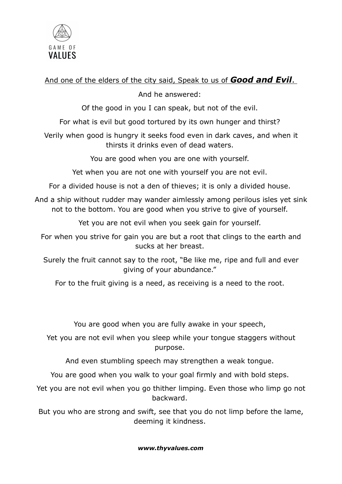

# And one of the elders of the city said, Speak to us of Good and Evil.

## And he answered:

Of the good in you I can speak, but not of the evil.

For what is evil but good tortured by its own hunger and thirst?

Verily when good is hungry it seeks food even in dark caves, and when it thirsts it drinks even of dead waters.

You are good when you are one with yourself.

Yet when you are not one with yourself you are not evil.

For a divided house is not a den of thieves; it is only a divided house.

And a ship without rudder may wander aimlessly among perilous isles yet sink not to the bottom. You are good when you strive to give of yourself.

Yet you are not evil when you seek gain for yourself.

For when you strive for gain you are but a root that clings to the earth and sucks at her breast.

Surely the fruit cannot say to the root, "Be like me, ripe and full and ever giving of your abundance."

For to the fruit giving is a need, as receiving is a need to the root.

You are good when you are fully awake in your speech,

Yet you are not evil when you sleep while your tongue staggers without purpose.

And even stumbling speech may strengthen a weak tongue.

You are good when you walk to your goal firmly and with bold steps.

Yet you are not evil when you go thither limping. Even those who limp go not backward.

But you who are strong and swift, see that you do not limp before the lame, deeming it kindness.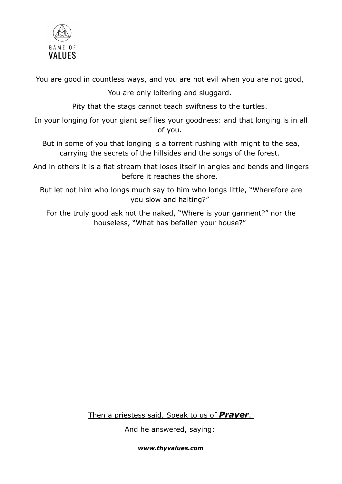

You are good in countless ways, and you are not evil when you are not good,

You are only loitering and sluggard.

Pity that the stags cannot teach swiftness to the turtles.

In your longing for your giant self lies your goodness: and that longing is in all of you.

But in some of you that longing is a torrent rushing with might to the sea, carrying the secrets of the hillsides and the songs of the forest.

And in others it is a flat stream that loses itself in angles and bends and lingers before it reaches the shore.

But let not him who longs much say to him who longs little, "Wherefore are you slow and halting?"

For the truly good ask not the naked, "Where is your garment?" nor the houseless, "What has befallen your house?"

Then a priestess said, Speak to us of **Prayer**.

And he answered, saying: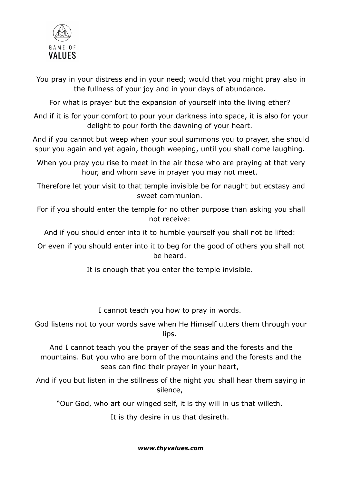

You pray in your distress and in your need; would that you might pray also in the fullness of your joy and in your days of abundance.

For what is prayer but the expansion of yourself into the living ether?

And if it is for your comfort to pour your darkness into space, it is also for your delight to pour forth the dawning of your heart.

And if you cannot but weep when your soul summons you to prayer, she should spur you again and yet again, though weeping, until you shall come laughing.

When you pray you rise to meet in the air those who are praying at that very hour, and whom save in prayer you may not meet.

Therefore let your visit to that temple invisible be for naught but ecstasy and sweet communion.

For if you should enter the temple for no other purpose than asking you shall not receive:

And if you should enter into it to humble yourself you shall not be lifted:

Or even if you should enter into it to beg for the good of others you shall not be heard.

It is enough that you enter the temple invisible.

I cannot teach you how to pray in words.

God listens not to your words save when He Himself utters them through your lips.

And I cannot teach you the prayer of the seas and the forests and the mountains. But you who are born of the mountains and the forests and the seas can find their prayer in your heart,

And if you but listen in the stillness of the night you shall hear them saying in silence,

"Our God, who art our winged self, it is thy will in us that willeth.

It is thy desire in us that desireth.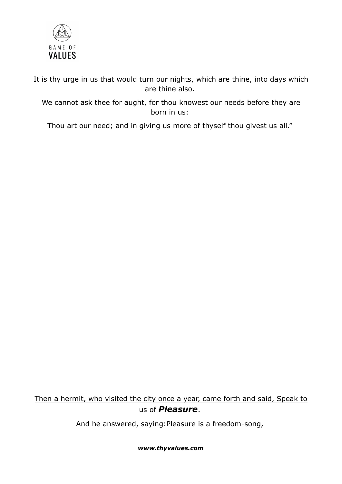

It is thy urge in us that would turn our nights, which are thine, into days which are thine also.

We cannot ask thee for aught, for thou knowest our needs before they are born in us:

Thou art our need; and in giving us more of thyself thou givest us all."

# Then a hermit, who visited the city once a year, came forth and said, Speak to us of *Pleasure*.

And he answered, saying:Pleasure is a freedom-song,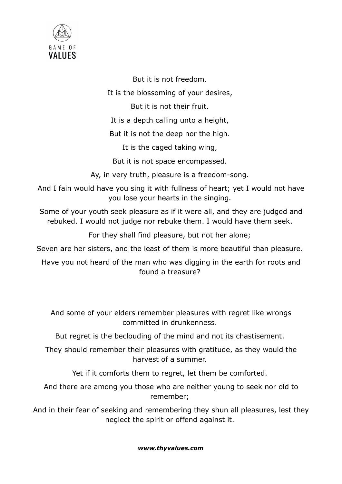

But it is not freedom.

It is the blossoming of your desires,

But it is not their fruit.

It is a depth calling unto a height,

But it is not the deep nor the high.

It is the caged taking wing,

But it is not space encompassed.

Ay, in very truth, pleasure is a freedom-song.

And I fain would have you sing it with fullness of heart; yet I would not have you lose your hearts in the singing.

Some of your youth seek pleasure as if it were all, and they are judged and rebuked. I would not judge nor rebuke them. I would have them seek.

For they shall find pleasure, but not her alone;

Seven are her sisters, and the least of them is more beautiful than pleasure.

Have you not heard of the man who was digging in the earth for roots and found a treasure?

And some of your elders remember pleasures with regret like wrongs committed in drunkenness.

But regret is the beclouding of the mind and not its chastisement.

They should remember their pleasures with gratitude, as they would the harvest of a summer.

Yet if it comforts them to regret, let them be comforted.

And there are among you those who are neither young to seek nor old to remember;

And in their fear of seeking and remembering they shun all pleasures, lest they neglect the spirit or offend against it.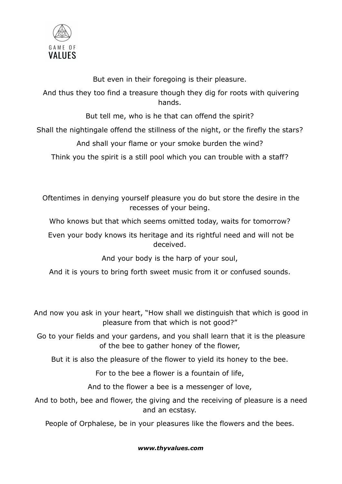

But even in their foregoing is their pleasure.

And thus they too find a treasure though they dig for roots with quivering hands.

But tell me, who is he that can offend the spirit?

Shall the nightingale offend the stillness of the night, or the firefly the stars?

And shall your flame or your smoke burden the wind?

Think you the spirit is a still pool which you can trouble with a staff?

Oftentimes in denying yourself pleasure you do but store the desire in the recesses of your being.

Who knows but that which seems omitted today, waits for tomorrow?

Even your body knows its heritage and its rightful need and will not be deceived.

And your body is the harp of your soul,

And it is yours to bring forth sweet music from it or confused sounds.

And now you ask in your heart, "How shall we distinguish that which is good in pleasure from that which is not good?"

Go to your fields and your gardens, and you shall learn that it is the pleasure of the bee to gather honey of the flower,

But it is also the pleasure of the flower to yield its honey to the bee.

For to the bee a flower is a fountain of life,

And to the flower a bee is a messenger of love,

And to both, bee and flower, the giving and the receiving of pleasure is a need and an ecstasy.

People of Orphalese, be in your pleasures like the flowers and the bees.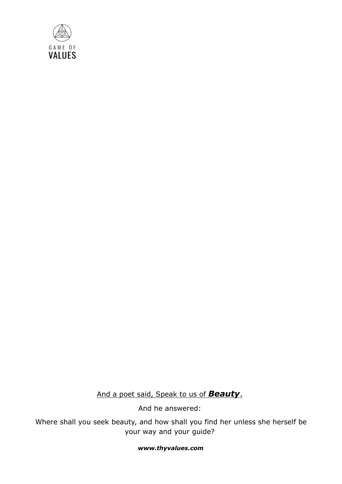

And a poet said, Speak to us of **Beauty**.

And he answered:

Where shall you seek beauty, and how shall you find her unless she herself be your way and your guide?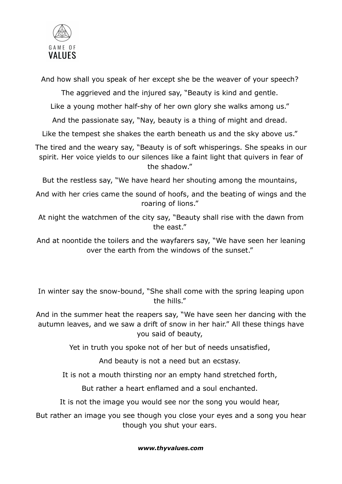

And how shall you speak of her except she be the weaver of your speech?

The aggrieved and the injured say, "Beauty is kind and gentle.

Like a young mother half-shy of her own glory she walks among us."

And the passionate say, "Nay, beauty is a thing of might and dread.

Like the tempest she shakes the earth beneath us and the sky above us."

The tired and the weary say, "Beauty is of soft whisperings. She speaks in our spirit. Her voice yields to our silences like a faint light that quivers in fear of the shadow."

But the restless say, "We have heard her shouting among the mountains,

And with her cries came the sound of hoofs, and the beating of wings and the roaring of lions."

At night the watchmen of the city say, "Beauty shall rise with the dawn from the east."

And at noontide the toilers and the wayfarers say, "We have seen her leaning over the earth from the windows of the sunset."

In winter say the snow-bound, "She shall come with the spring leaping upon the hills."

And in the summer heat the reapers say, "We have seen her dancing with the autumn leaves, and we saw a drift of snow in her hair." All these things have you said of beauty,

Yet in truth you spoke not of her but of needs unsatisfied,

And beauty is not a need but an ecstasy.

It is not a mouth thirsting nor an empty hand stretched forth,

But rather a heart enflamed and a soul enchanted.

It is not the image you would see nor the song you would hear,

But rather an image you see though you close your eyes and a song you hear though you shut your ears.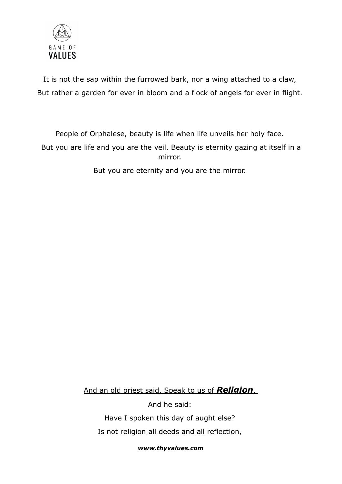

It is not the sap within the furrowed bark, nor a wing attached to a claw, But rather a garden for ever in bloom and a flock of angels for ever in flight.

People of Orphalese, beauty is life when life unveils her holy face.

But you are life and you are the veil. Beauty is eternity gazing at itself in a mirror.

But you are eternity and you are the mirror.

And an old priest said, Speak to us of **Religion**.

And he said: Have I spoken this day of aught else? Is not religion all deeds and all reflection,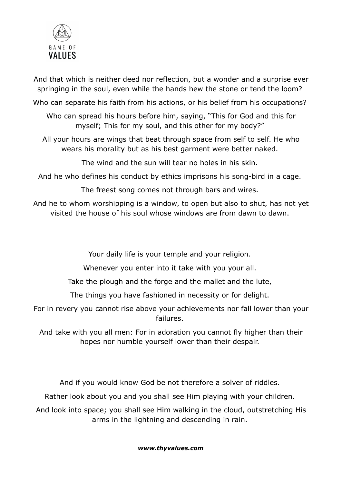

And that which is neither deed nor reflection, but a wonder and a surprise ever springing in the soul, even while the hands hew the stone or tend the loom?

Who can separate his faith from his actions, or his belief from his occupations?

Who can spread his hours before him, saying, "This for God and this for myself; This for my soul, and this other for my body?"

All your hours are wings that beat through space from self to self. He who wears his morality but as his best garment were better naked.

The wind and the sun will tear no holes in his skin.

And he who defines his conduct by ethics imprisons his song-bird in a cage.

The freest song comes not through bars and wires.

And he to whom worshipping is a window, to open but also to shut, has not yet visited the house of his soul whose windows are from dawn to dawn.

Your daily life is your temple and your religion.

Whenever you enter into it take with you your all.

Take the plough and the forge and the mallet and the lute,

The things you have fashioned in necessity or for delight.

For in revery you cannot rise above your achievements nor fall lower than your failures.

And take with you all men: For in adoration you cannot fly higher than their hopes nor humble yourself lower than their despair.

And if you would know God be not therefore a solver of riddles.

Rather look about you and you shall see Him playing with your children.

And look into space; you shall see Him walking in the cloud, outstretching His arms in the lightning and descending in rain.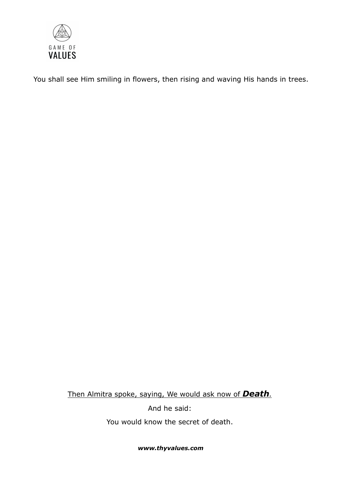

You shall see Him smiling in flowers, then rising and waving His hands in trees.

Then Almitra spoke, saying, We would ask now of **Death**.

And he said:

You would know the secret of death.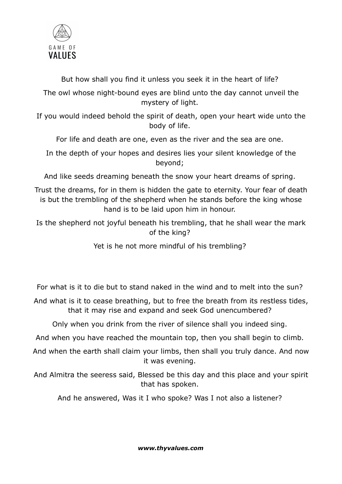

But how shall you find it unless you seek it in the heart of life?

The owl whose night-bound eyes are blind unto the day cannot unveil the mystery of light.

If you would indeed behold the spirit of death, open your heart wide unto the body of life.

For life and death are one, even as the river and the sea are one.

In the depth of your hopes and desires lies your silent knowledge of the beyond;

And like seeds dreaming beneath the snow your heart dreams of spring.

Trust the dreams, for in them is hidden the gate to eternity. Your fear of death is but the trembling of the shepherd when he stands before the king whose hand is to be laid upon him in honour.

Is the shepherd not joyful beneath his trembling, that he shall wear the mark of the king?

Yet is he not more mindful of his trembling?

For what is it to die but to stand naked in the wind and to melt into the sun?

And what is it to cease breathing, but to free the breath from its restless tides, that it may rise and expand and seek God unencumbered?

Only when you drink from the river of silence shall you indeed sing.

And when you have reached the mountain top, then you shall begin to climb.

And when the earth shall claim your limbs, then shall you truly dance. And now it was evening.

And Almitra the seeress said, Blessed be this day and this place and your spirit that has spoken.

And he answered, Was it I who spoke? Was I not also a listener?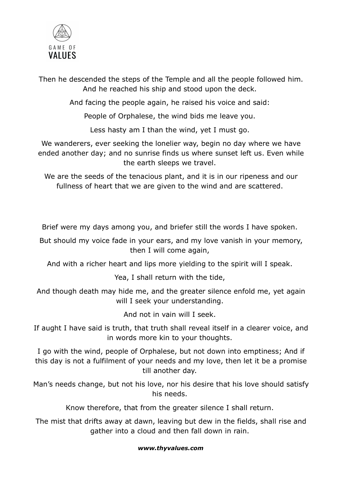

Then he descended the steps of the Temple and all the people followed him. And he reached his ship and stood upon the deck.

And facing the people again, he raised his voice and said:

People of Orphalese, the wind bids me leave you.

Less hasty am I than the wind, yet I must go.

We wanderers, ever seeking the lonelier way, begin no day where we have ended another day; and no sunrise finds us where sunset left us. Even while the earth sleeps we travel.

We are the seeds of the tenacious plant, and it is in our ripeness and our fullness of heart that we are given to the wind and are scattered.

Brief were my days among you, and briefer still the words I have spoken.

But should my voice fade in your ears, and my love vanish in your memory, then I will come again,

And with a richer heart and lips more yielding to the spirit will I speak.

Yea, I shall return with the tide,

And though death may hide me, and the greater silence enfold me, yet again will I seek your understanding.

And not in vain will I seek.

If aught I have said is truth, that truth shall reveal itself in a clearer voice, and in words more kin to your thoughts.

I go with the wind, people of Orphalese, but not down into emptiness; And if this day is not a fulfilment of your needs and my love, then let it be a promise till another day.

Man's needs change, but not his love, nor his desire that his love should satisfy his needs.

Know therefore, that from the greater silence I shall return.

The mist that drifts away at dawn, leaving but dew in the fields, shall rise and gather into a cloud and then fall down in rain.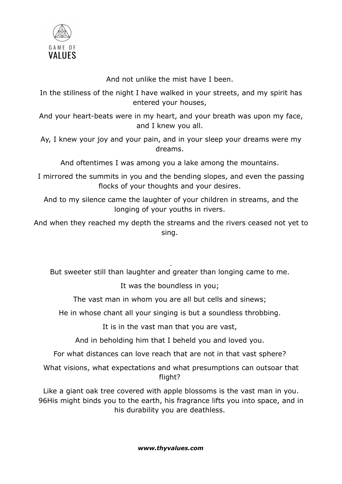

And not unlike the mist have I been.

In the stillness of the night I have walked in your streets, and my spirit has entered your houses,

And your heart-beats were in my heart, and your breath was upon my face, and I knew you all.

Ay, I knew your joy and your pain, and in your sleep your dreams were my dreams.

And oftentimes I was among you a lake among the mountains.

I mirrored the summits in you and the bending slopes, and even the passing flocks of your thoughts and your desires.

And to my silence came the laughter of your children in streams, and the longing of your youths in rivers.

And when they reached my depth the streams and the rivers ceased not yet to sing.

But sweeter still than laughter and greater than longing came to me.

It was the boundless in you;

The vast man in whom you are all but cells and sinews;

He in whose chant all your singing is but a soundless throbbing.

It is in the vast man that you are vast,

And in beholding him that I beheld you and loved you.

For what distances can love reach that are not in that vast sphere?

What visions, what expectations and what presumptions can outsoar that flight?

Like a giant oak tree covered with apple blossoms is the vast man in you. 96His might binds you to the earth, his fragrance lifts you into space, and in his durability you are deathless.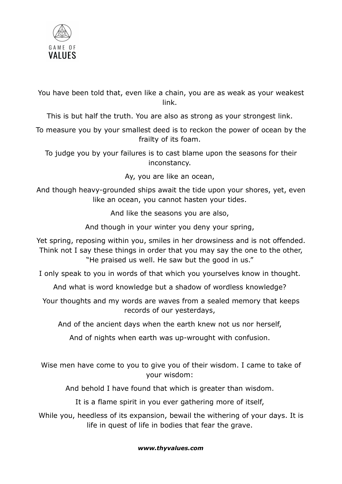

You have been told that, even like a chain, you are as weak as your weakest link.

This is but half the truth. You are also as strong as your strongest link.

To measure you by your smallest deed is to reckon the power of ocean by the frailty of its foam.

To judge you by your failures is to cast blame upon the seasons for their inconstancy.

Ay, you are like an ocean,

And though heavy-grounded ships await the tide upon your shores, yet, even like an ocean, you cannot hasten your tides.

And like the seasons you are also,

And though in your winter you deny your spring,

Yet spring, reposing within you, smiles in her drowsiness and is not offended. Think not I say these things in order that you may say the one to the other, "He praised us well. He saw but the good in us."

I only speak to you in words of that which you yourselves know in thought.

And what is word knowledge but a shadow of wordless knowledge?

Your thoughts and my words are waves from a sealed memory that keeps records of our yesterdays,

And of the ancient days when the earth knew not us nor herself,

And of nights when earth was up-wrought with confusion.

Wise men have come to you to give you of their wisdom. I came to take of your wisdom:

And behold I have found that which is greater than wisdom.

It is a flame spirit in you ever gathering more of itself,

While you, heedless of its expansion, bewail the withering of your days. It is life in quest of life in bodies that fear the grave.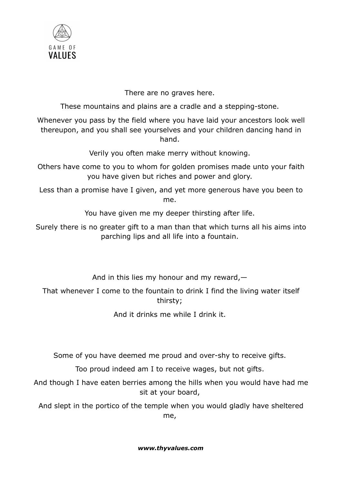

There are no graves here.

These mountains and plains are a cradle and a stepping-stone.

Whenever you pass by the field where you have laid your ancestors look well thereupon, and you shall see yourselves and your children dancing hand in hand.

Verily you often make merry without knowing.

Others have come to you to whom for golden promises made unto your faith you have given but riches and power and glory.

Less than a promise have I given, and yet more generous have you been to me.

You have given me my deeper thirsting after life.

Surely there is no greater gift to a man than that which turns all his aims into parching lips and all life into a fountain.

And in this lies my honour and my reward,—

That whenever I come to the fountain to drink I find the living water itself thirsty;

And it drinks me while I drink it.

Some of you have deemed me proud and over-shy to receive gifts.

Too proud indeed am I to receive wages, but not gifts.

And though I have eaten berries among the hills when you would have had me sit at your board,

And slept in the portico of the temple when you would gladly have sheltered me,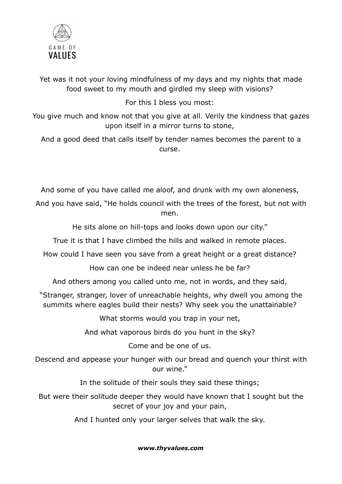

Yet was it not your loving mindfulness of my days and my nights that made food sweet to my mouth and girdled my sleep with visions?

For this I bless you most:

You give much and know not that you give at all. Verily the kindness that gazes upon itself in a mirror turns to stone,

And a good deed that calls itself by tender names becomes the parent to a curse.

And some of you have called me aloof, and drunk with my own aloneness,

And you have said, "He holds council with the trees of the forest, but not with men.

He sits alone on hill-tops and looks down upon our city."

True it is that I have climbed the hills and walked in remote places.

How could I have seen you save from a great height or a great distance?

How can one be indeed near unless he be far?

And others among you called unto me, not in words, and they said,

"Stranger, stranger, lover of unreachable heights, why dwell you among the summits where eagles build their nests? Why seek you the unattainable?

What storms would you trap in your net,

And what vaporous birds do you hunt in the sky?

Come and be one of us.

Descend and appease your hunger with our bread and quench your thirst with our wine."

In the solitude of their souls they said these things;

But were their solitude deeper they would have known that I sought but the secret of your joy and your pain,

And I hunted only your larger selves that walk the sky.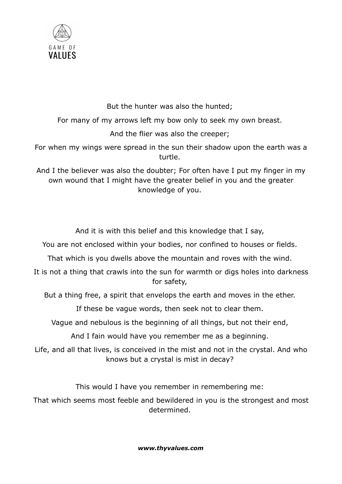

But the hunter was also the hunted;

For many of my arrows left my bow only to seek my own breast.

And the flier was also the creeper;

For when my wings were spread in the sun their shadow upon the earth was a turtle.

And I the believer was also the doubter; For often have I put my finger in my own wound that I might have the greater belief in you and the greater knowledge of you.

And it is with this belief and this knowledge that I say,

You are not enclosed within your bodies, nor confined to houses or fields.

That which is you dwells above the mountain and roves with the wind.

It is not a thing that crawls into the sun for warmth or digs holes into darkness for safety,

But a thing free, a spirit that envelops the earth and moves in the ether.

If these be vague words, then seek not to clear them.

Vague and nebulous is the beginning of all things, but not their end,

And I fain would have you remember me as a beginning.

Life, and all that lives, is conceived in the mist and not in the crystal. And who knows but a crystal is mist in decay?

This would I have you remember in remembering me:

That which seems most feeble and bewildered in you is the strongest and most determined.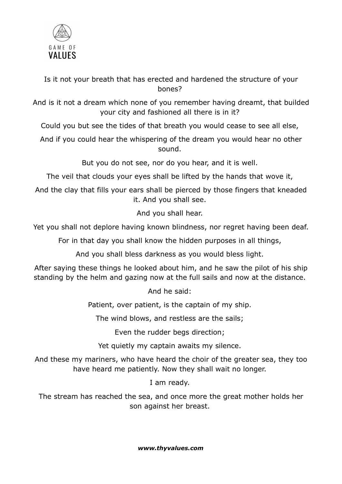

Is it not your breath that has erected and hardened the structure of your bones?

And is it not a dream which none of you remember having dreamt, that builded your city and fashioned all there is in it?

Could you but see the tides of that breath you would cease to see all else,

And if you could hear the whispering of the dream you would hear no other sound.

But you do not see, nor do you hear, and it is well.

The veil that clouds your eyes shall be lifted by the hands that wove it,

And the clay that fills your ears shall be pierced by those fingers that kneaded it. And you shall see.

And you shall hear.

Yet you shall not deplore having known blindness, nor regret having been deaf.

For in that day you shall know the hidden purposes in all things,

And you shall bless darkness as you would bless light.

After saying these things he looked about him, and he saw the pilot of his ship standing by the helm and gazing now at the full sails and now at the distance.

And he said:

Patient, over patient, is the captain of my ship.

The wind blows, and restless are the sails;

Even the rudder begs direction;

Yet quietly my captain awaits my silence.

And these my mariners, who have heard the choir of the greater sea, they too have heard me patiently. Now they shall wait no longer.

I am ready.

The stream has reached the sea, and once more the great mother holds her son against her breast.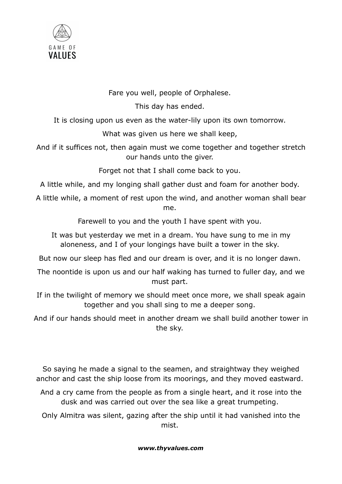

Fare you well, people of Orphalese.

This day has ended.

It is closing upon us even as the water-lily upon its own tomorrow.

What was given us here we shall keep,

And if it suffices not, then again must we come together and together stretch our hands unto the giver.

Forget not that I shall come back to you.

A little while, and my longing shall gather dust and foam for another body.

A little while, a moment of rest upon the wind, and another woman shall bear me.

Farewell to you and the youth I have spent with you.

It was but yesterday we met in a dream. You have sung to me in my aloneness, and I of your longings have built a tower in the sky.

But now our sleep has fled and our dream is over, and it is no longer dawn.

- The noontide is upon us and our half waking has turned to fuller day, and we must part.
- If in the twilight of memory we should meet once more, we shall speak again together and you shall sing to me a deeper song.

And if our hands should meet in another dream we shall build another tower in the sky.

So saying he made a signal to the seamen, and straightway they weighed anchor and cast the ship loose from its moorings, and they moved eastward.

- And a cry came from the people as from a single heart, and it rose into the dusk and was carried out over the sea like a great trumpeting.
- Only Almitra was silent, gazing after the ship until it had vanished into the mist.